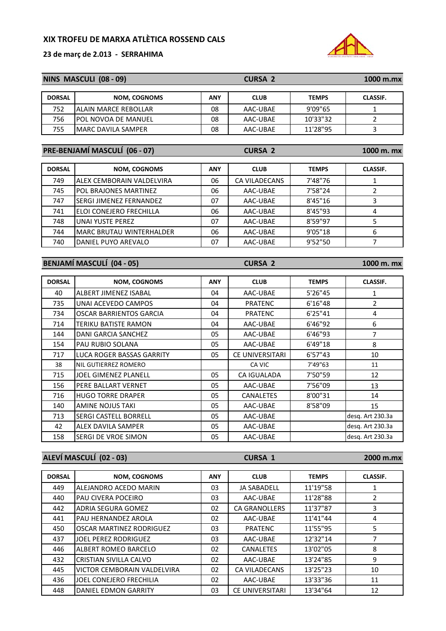**23 de març de 2.013 ‐ SERRAHIMA**



| NINS MASCULI (08 - 09) |                                  |            | <b>CURSA 2</b>       |              | 1000 m.mx        |
|------------------------|----------------------------------|------------|----------------------|--------------|------------------|
| <b>DORSAL</b>          | <b>NOM, COGNOMS</b>              | <b>ANY</b> | <b>CLUB</b>          | <b>TEMPS</b> | <b>CLASSIF.</b>  |
| 752                    | ALAIN MARCE REBOLLAR             | 08         | AAC-UBAE             | 9'09"65      | $\mathbf{1}$     |
| 756                    | POL NOVOA DE MANUEL              | 08         | AAC-UBAE             | 10'33"32     | $\overline{2}$   |
| 755                    | <b>MARC DAVILA SAMPER</b>        | 08         | AAC-UBAE             | 11'28"95     | 3                |
|                        |                                  |            |                      |              |                  |
|                        | PRE-BENJAMÍ MASCULÍ (06 - 07)    |            | <b>CURSA 2</b>       |              | 1000 m. mx       |
| <b>DORSAL</b>          | <b>NOM, COGNOMS</b>              | <b>ANY</b> | <b>CLUB</b>          | <b>TEMPS</b> | <b>CLASSIF.</b>  |
| 749                    | ALEX CEMBORAIN VALDELVIRA        | 06         | <b>CA VILADECANS</b> | 7'48"76      | $\mathbf{1}$     |
| 745                    | POL BRAJONES MARTINEZ            | 06         | AAC-UBAE             | 7'58"24      | $\overline{2}$   |
| 747                    | SERGI JIMENEZ FERNANDEZ          | 07         | AAC-UBAE             | 8'45"16      | 3                |
| 741                    | ELOI CONEJERO FRECHILLA          | 06         | AAC-UBAE             | 8'45"93      | 4                |
| 748                    | <b>UNAI YUSTE PEREZ</b>          | 07         | AAC-UBAE             | 8'59"97      | 5                |
| 744                    | <b>MARC BRUTAU WINTERHALDER</b>  | 06         | AAC-UBAE             | 9'05"18      | 6                |
| 740                    | DANIEL PUYO AREVALO              | 07         | AAC-UBAE             | 9'52"50      | $\overline{7}$   |
|                        |                                  |            |                      |              |                  |
|                        | <b>BENJAMÍ MASCULÍ (04 - 05)</b> |            | <b>CURSA 2</b>       |              | 1000 m. mx       |
| <b>DORSAL</b>          | <b>NOM, COGNOMS</b>              | <b>ANY</b> | <b>CLUB</b>          | <b>TEMPS</b> | <b>CLASSIF.</b>  |
| 40                     | ALBERT JIMENEZ ISABAL            | 04         | AAC-UBAE             | 5'26"45      | 1                |
| 735                    | UNAI ACEVEDO CAMPOS              | 04         | <b>PRATENC</b>       | 6'16''48     | $\overline{2}$   |
| 734                    | <b>OSCAR BARRIENTOS GARCIA</b>   | 04         | <b>PRATENC</b>       | 6'25"41      | 4                |
| 714                    | TERIKU BATISTE RAMON             | 04         | AAC-UBAE             | 6'46"92      | 6                |
| 144                    | DANI GARCIA SANCHEZ              | 05         | AAC-UBAE             | 6'46"93      | $\overline{7}$   |
| 154                    | PAU RUBIO SOLANA                 | 05         | AAC-UBAE             | 6'49"18      | 8                |
| 717                    | LUCA ROGER BASSAS GARRITY        | 05         | CE UNIVERSITARI      | 6'57"43      | 10               |
| 38                     | NIL GUTIERREZ ROMERO             |            | CA VIC               | 7'49"63      | 11               |
| 715                    | JOEL GIMENEZ PLANELL             | 05         | CA IGUALADA          | 7'50"59      | 12               |
| 156                    | PERE BALLART VERNET              | 05         | AAC-UBAE             | 7'56"09      | 13               |
| 716                    | <b>HUGO TORRE DRAPER</b>         | 05         | CANALETES            | 8'00"31      | 14               |
| 140                    | AMINE NOJUS TAKI                 | 05         | AAC-UBAE             | 8'58"09      | 15               |
| 713                    | SERGI CASTELL BORRELL            | 05         | AAC-UBAE             |              | desg. Art 230.3a |
| 42                     | <b>ALEX DAVILA SAMPER</b>        | 05         | AAC-UBAE             |              | desq. Art 230.3a |
| 158                    | SERGI DE VROE SIMON              | 05         | AAC-UBAE             |              | desg. Art 230.3a |
|                        |                                  |            |                      |              |                  |
|                        | ALEVÍ MASCULÍ (02 - 03)          |            | <b>CURSA 1</b>       |              | 2000 m.mx        |
| <b>DORSAL</b>          | <b>NOM, COGNOMS</b>              | <b>ANY</b> | <b>CLUB</b>          | <b>TEMPS</b> | <b>CLASSIF.</b>  |
| 449                    | ALEJANDRO ACEDO MARIN            | 03         | JA SABADELL          | 11'19"58     | $\mathbf{1}$     |
| 440                    | PAU CIVERA POCEIRO               | 03         | AAC-UBAE             | 11'28"88     | $\overline{2}$   |
| 442                    | ADRIA SEGURA GOMEZ               | 02         | CA GRANOLLERS        | 11'37"87     | 3                |
| 441                    | PAU HERNANDEZ AROLA              | 02         | AAC-UBAE             | 11'41"44     | 4                |
| 450                    | OSCAR MARTINEZ RODRIGUEZ         | 03         | <b>PRATENC</b>       | 11'55"95     | 5                |
| 437                    | JOEL PEREZ RODRIGUEZ             | 03         | AAC-UBAE             | 12'32"14     | $\overline{7}$   |
| 446                    | ALBERT ROMEO BARCELO             | 02         | CANALETES            | 13'02"05     | 8                |
| 432                    | CRISTIAN SIVILLA CALVO           | 02         | AAC-UBAE             | 13'24"85     | 9                |
| 445                    | VICTOR CEMBORAIN VALDELVIRA      | 02         | CA VILADECANS        | 13'25"23     | 10               |

436 JOEL CONEJERO FRECHILIA | 02 | AAC-UBAE | 13'33"36 | 11 448 DANIEL EDMON GARRITY 103 CE UNIVERSITARI 13'34"64 12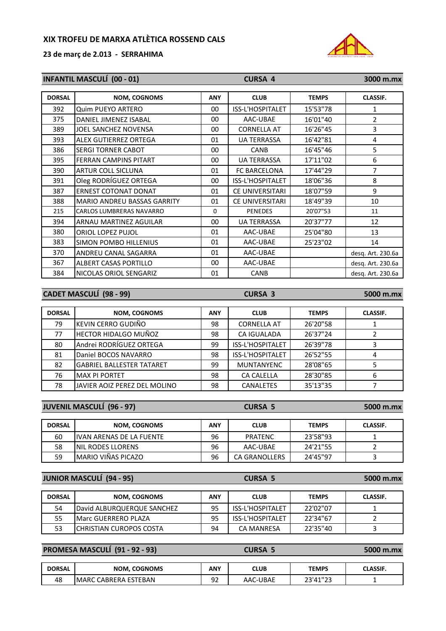**23 de març de 2.013 ‐ SERRAHIMA**



| <b>INFANTIL MASCULÍ (00 - 01)</b> |                                    |             | <b>CURSA 4</b>         | 3000 m.mx    |                   |
|-----------------------------------|------------------------------------|-------------|------------------------|--------------|-------------------|
| <b>DORSAL</b>                     | <b>NOM, COGNOMS</b>                | <b>ANY</b>  | <b>CLUB</b>            | <b>TEMPS</b> | <b>CLASSIF.</b>   |
| 392                               | Quim PUEYO ARTERO                  | $00\,$      | ISS-L'HOSPITALET       | 15'53"78     | 1                 |
| 375                               | DANIEL JIMENEZ ISABAL              | $00\,$      | AAC-UBAE               | 16'01"40     | $\overline{2}$    |
| 389                               | JOEL SANCHEZ NOVENSA               | $00\,$      | <b>CORNELLA AT</b>     | 16'26"45     | 3                 |
| 393                               | ALEX GUTIERREZ ORTEGA              | 01          | <b>UA TERRASSA</b>     | 16'42"81     | 4                 |
| 386                               | <b>SERGI TORNER CABOT</b>          | 00          | <b>CANB</b>            | 16'45"46     | 5                 |
| 395                               | <b>FERRAN CAMPINS PITART</b>       | 00          | <b>UA TERRASSA</b>     | 17'11"02     | 6                 |
| 390                               | ARTUR COLL SICLUNA                 | 01          | FC BARCELONA           | 17'44"29     | 7                 |
| 391                               | Oleg RODRÍGUEZ ORTEGA              | 00          | ISS-L'HOSPITALET       | 18'06"36     | 8                 |
| 387                               | <b>ERNEST COTONAT DONAT</b>        | 01          | <b>CE UNIVERSITARI</b> | 18'07"59     | 9                 |
| 388                               | <b>MARIO ANDREU BASSAS GARRITY</b> | 01          | <b>CE UNIVERSITARI</b> | 18'49"39     | 10                |
| 215                               | <b>CARLOS LUMBRERAS NAVARRO</b>    | $\mathbf 0$ | <b>PENEDES</b>         | 20'07"53     | 11                |
| 394                               | ARNAU MARTINEZ AGUILAR             | $00\,$      | <b>UA TERRASSA</b>     | 20'37"77     | 12                |
| 380                               | ORIOL LOPEZ PUJOL                  | 01          | AAC-UBAE               | 25'04"80     | 13                |
| 383                               | <b>SIMON POMBO HILLENIUS</b>       | 01          | AAC-UBAE               | 25'23"02     | 14                |
| 370                               | ANDREU CANAL SAGARRA               | 01          | AAC-UBAE               |              | desq. Art. 230.6a |
| 367                               | ALBERT CASAS PORTILLO              | 00          | AAC-UBAE               |              | desq. Art. 230.6a |
| 384                               | NICOLAS ORIOL SENGARIZ             | 01          | <b>CANB</b>            |              | desq. Art. 230.6a |

**CADET MASCULÍ (98 ‐ 99) CURSA 3 5000 m.mx**

| <b>DORSAL</b> | <b>NOM, COGNOMS</b>               | <b>ANY</b> | <b>CLUB</b>        | <b>TEMPS</b> | <b>CLASSIF.</b> |
|---------------|-----------------------------------|------------|--------------------|--------------|-----------------|
| 79            | KEVIN CERRO GUDIÑO                | 98         | <b>CORNELLA AT</b> | 26'20"58     |                 |
| 77            | <b>HECTOR HIDALGO MUÑOZ</b>       | 98         | <b>CA IGUALADA</b> | 26'37"24     |                 |
| 80            | Andrei RODRÍGUEZ ORTEGA           | 99         | ISS-L'HOSPITALET   | 26'39"78     |                 |
| 81            | Daniel BOCOS NAVARRO              | 98         | ISS-L'HOSPITALET   | 26'52"55     | 4               |
| 82            | <b>IGABRIEL BALLESTER TATARET</b> | 99         | <b>MUNTANYENC</b>  | 28'08"65     |                 |
| 76            | <b>MAX PI PORTET</b>              | 98         | <b>CA CALELLA</b>  | 28'30"85     | 6               |
| 78            | IJAVIER AOIZ PEREZ DEL MOLINO     | 98         | CANALETES          | 35'13"35     |                 |

| <b>JUVENIL MASCULÍ (96 - 97)</b> |                                  |            | <b>CURSA 5</b>       |              | 5000 m.mx       |
|----------------------------------|----------------------------------|------------|----------------------|--------------|-----------------|
| <b>DORSAL</b>                    | <b>NOM, COGNOMS</b>              | <b>ANY</b> | <b>CLUB</b>          | <b>TEMPS</b> | <b>CLASSIF.</b> |
| 60                               | <b>IIVAN ARENAS DE LA FUENTE</b> | 96         | <b>PRATENC</b>       | 23'58"93     |                 |
| 58                               | <b>INIL RODES LLORENS</b>        | 96         | AAC-UBAE             | 24'21"55     |                 |
| 59                               | MARIO VIÑAS PICAZO               | 96         | <b>CA GRANOLLERS</b> | 24'45"97     |                 |

#### **JUNIOR MASCULÍ (94 ‐ 95) CURSA 5 5000 m.mx**

DORSAL NOM, COGNOMS ANY CLUB TEMPS CLASSIF. 54 David ALBURQUERQUE SANCHEZ 95 | ISS-L'HOSPITALET | 22'02"07 | 1 55 | Marc GUERRERO PLAZA | 95 | ISS-L'HOSPITALET | 22'34"67 | 2 53 CHRISTIAN CUROPOS COSTA 194 CA MANRESA 22'35"40 3

#### **PROMESA MASCULÍ (91 ‐ 92 ‐ 93) CURSA 5 5000 m.mx**

| <b>DORSAL</b> | <b>NOM. COGNOMS</b>               | ANY       | CLUB     | TEMPS            | <b>CLASSIF.</b> |
|---------------|-----------------------------------|-----------|----------|------------------|-----------------|
| 48            | `CABRERA ESTEBAN<br><b>MARC L</b> | റാ<br>ے ر | AAC-UBAE | כר"וווירר<br>. . |                 |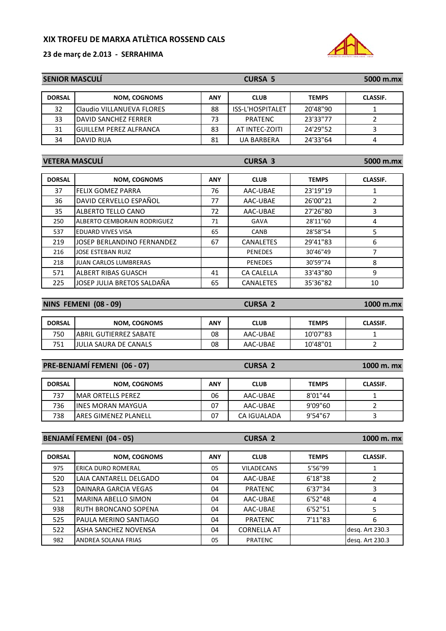**23 de març de 2.013 ‐ SERRAHIMA**



| <b>SENIOR MASCULI</b> |                                    |            | <b>CURSA 5</b>    | 5000 m.mx    |                 |
|-----------------------|------------------------------------|------------|-------------------|--------------|-----------------|
| <b>DORSAL</b>         | <b>NOM, COGNOMS</b>                | <b>ANY</b> | <b>CLUB</b>       | <b>TEMPS</b> | <b>CLASSIF.</b> |
| 32                    | Claudio VILLANUEVA FLORES          | 88         | ISS-L'HOSPITALET  | 20'48"90     | 1               |
| 33                    | <b>DAVID SANCHEZ FERRER</b>        | 73         | <b>PRATENC</b>    | 23'33"77     | $\overline{2}$  |
| 31                    | <b>GUILLEM PEREZ ALFRANCA</b>      | 83         | AT INTEC-ZOITI    | 24'29"52     | 3               |
| 34                    | DAVID RUA                          | 81         | <b>UA BARBERA</b> | 24'33"64     | 4               |
|                       |                                    |            |                   |              |                 |
|                       | <b>VETERA MASCULÍ</b>              |            | <b>CURSA 3</b>    |              | 5000 m.mx       |
|                       |                                    |            |                   |              |                 |
| <b>DORSAL</b>         | <b>NOM, COGNOMS</b>                | <b>ANY</b> | <b>CLUB</b>       | <b>TEMPS</b> | <b>CLASSIF.</b> |
| 37                    | <b>FELIX GOMEZ PARRA</b>           | 76         | AAC-UBAE          | 23'19"19     | 1               |
| 36                    | DAVID CERVELLO ESPAÑOL             | 77         | AAC-UBAE          | 26'00"21     | $\overline{2}$  |
| 35                    | ALBERTO TELLO CANO                 | 72         | AAC-UBAE          | 27'26"80     | 3               |
| 250                   | <b>ALBERTO CEMBORAIN RODRIGUEZ</b> | 71         | <b>GAVA</b>       | 28'11"60     | 4               |
| 537                   | <b>EDUARD VIVES VISA</b>           | 65         | CANB              | 28'58"54     | 5               |
| 219                   | JOSEP BERLANDINO FERNANDEZ         | 67         | <b>CANALETES</b>  | 29'41"83     | 6               |
| 216                   | <b>JOSE ESTEBAN RUIZ</b>           |            | <b>PENEDES</b>    | 30'46"49     | 7               |
| 218                   | <b>JUAN CARLOS LUMBRERAS</b>       |            | <b>PENEDES</b>    | 30'59"74     | 8               |
| 571                   | ALBERT RIBAS GUASCH                | 41         | <b>CA CALELLA</b> | 33'43"80     | 9               |
| 225                   | JOSEP JULIA BRETOS SALDAÑA         | 65         | CANALETES         | 35'36"82     | 10              |
|                       |                                    |            |                   |              |                 |
|                       | $1810$ Pracess $180$ $80$          |            | $ \sim \sim$      |              |                 |

| <b>NINS FEMENI (08 - 09)</b> |                                |     | <b>CURSA 2</b> |              | $1000$ m.mx     |
|------------------------------|--------------------------------|-----|----------------|--------------|-----------------|
|                              |                                |     |                |              |                 |
| <b>DORSAL</b>                | <b>NOM, COGNOMS</b>            | ANY | <b>CLUB</b>    | <b>TEMPS</b> | <b>CLASSIF.</b> |
| 750                          | <b>JABRIL GUTIERREZ SABATE</b> | 08  | AAC-UBAE       | 10'07"83     |                 |
| 751                          | <b>JULIA SAURA DE CANALS</b>   | 08  | AAC-UBAE       | 10'48"01     |                 |

| PRE-BENJAMÍ FEMENI (06 - 07) |                              | <b>CURSA 2</b> |             |              | 1000 m. mx      |  |
|------------------------------|------------------------------|----------------|-------------|--------------|-----------------|--|
| <b>DORSAL</b>                | <b>NOM, COGNOMS</b>          | <b>ANY</b>     | <b>CLUB</b> | <b>TEMPS</b> | <b>CLASSIF.</b> |  |
| 737                          | <b>IMAR ORTELLS PEREZ</b>    | 06             | AAC-UBAE    | 8'01"44      |                 |  |
| 736                          | <b>IINES MORAN MAYGUA</b>    | 07             | AAC-UBAE    | 9'09"60      |                 |  |
| 738                          | <b>IARES GIMENEZ PLANELL</b> | 07             | CA IGUALADA | 9'54"67      |                 |  |

**BENJAMÍ FEMENI (04 ‐ 05) CURSA 2 1000 m. mx**

| <b>DORSAL</b> | <b>NOM, COGNOMS</b>         | <b>ANY</b> | <b>CLUB</b>        | <b>TEMPS</b> | <b>CLASSIF.</b> |
|---------------|-----------------------------|------------|--------------------|--------------|-----------------|
| 975           | <b>ERICA DURO ROMERAL</b>   | 05         | <b>VILADECANS</b>  | 5'56"99      |                 |
| 520           | LAIA CANTARELL DELGADO      | 04         | AAC-UBAE           | 6'18"38      |                 |
| 523           | <b>DAINARA GARCIA VEGAS</b> | 04         | <b>PRATENC</b>     | 6'37"34      |                 |
| 521           | <b>MARINA ABELLO SIMON</b>  | 04         | AAC-UBAE           | 6'52"48      | 4               |
| 938           | IRUTH BRONCANO SOPENA       | 04         | AAC-UBAE           | 6'52"51      |                 |
| 525           | PAULA MERINO SANTIAGO       | 04         | <b>PRATENC</b>     | 7'11"83      | 6               |
| 522           | ASHA SANCHEZ NOVENSA        | 04         | <b>CORNELLA AT</b> |              | desg. Art 230.3 |
| 982           | <b>ANDREA SOLANA FRIAS</b>  | 05         | <b>PRATENC</b>     |              | desg. Art 230.3 |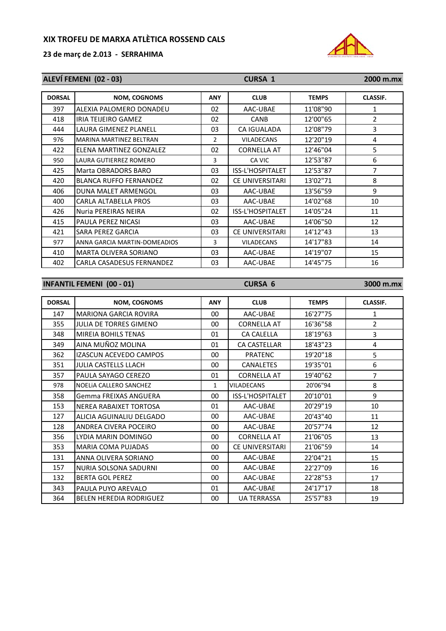

| ALEVÍ FEMENI (02 - 03) |                                  |                | <b>CURSA 1</b>     | 2000 m.mx    |                 |
|------------------------|----------------------------------|----------------|--------------------|--------------|-----------------|
| <b>DORSAL</b>          | <b>NOM, COGNOMS</b>              | ANY            | <b>CLUB</b>        | <b>TEMPS</b> | CLASSIF.        |
| 397                    | ALEXIA PALOMERO DONADEU          | 02             | AAC-UBAE           | 11'08"90     | $\mathbf{1}$    |
| 418                    | <b>IRIA TEIJEIRO GAMEZ</b>       | 02             | <b>CANB</b>        | 12'00"65     | $\overline{2}$  |
| 444                    | <b>LAURA GIMENEZ PLANELL</b>     | 03             | CA IGUALADA        | 12'08"79     | 3               |
| 976                    | MARINA MARTINEZ BELTRAN          | $\overline{2}$ | <b>VILADECANS</b>  | 12'20"19     | 4               |
| 422                    | ELENA MARTINEZ GONZALEZ          | 02             | <b>CORNELLA AT</b> | 12'46"04     | 5               |
| 950                    | LAURA GUTIERREZ ROMERO           | 3              | CA VIC             | 12'53"87     | 6               |
| 425                    | Marta OBRADORS BARO              | 03             | ISS-L'HOSPITALET   | 12'53"87     | $\overline{7}$  |
| 420                    | <b>BLANCA RUFFO FERNANDEZ</b>    | 02             | CE UNIVERSITARI    | 13'02"71     | 8               |
| 406                    | DUNA MALET ARMENGOL              | 03             | AAC-UBAE           | 13'56"59     | 9               |
| 400                    | CARLA ALTABELLA PROS             | 03             | AAC-UBAE           | 14'02"68     | 10              |
| 426                    | Nuria PEREIRAS NEIRA             | 02             | ISS-L'HOSPITALET   | 14'05"24     | 11              |
| 415                    | PAULA PEREZ NICASI               | 03             | AAC-UBAE           | 14'06"50     | 12              |
| 421                    | SARA PEREZ GARCIA                | 03             | CE UNIVERSITARI    | 14'12"43     | 13              |
| 977                    | ANNA GARCIA MARTIN-DOMEADIOS     | 3              | <b>VILADECANS</b>  | 14'17"83     | 14              |
| 410                    | MARTA OLIVERA SORIANO            | 03             | AAC-UBAE           | 14'19"07     | 15              |
| 402                    | CARLA CASADESUS FERNANDEZ        | 03             | AAC-UBAE           | 14'45"75     | 16              |
|                        |                                  |                |                    |              |                 |
|                        | <b>INFANTIL FEMENI (00 - 01)</b> |                | <b>CURSA 6</b>     |              | 3000 m.mx       |
| <b>DORSAL</b>          | <b>NOM, COGNOMS</b>              | <b>ANY</b>     | <b>CLUB</b>        | <b>TEMPS</b> | <b>CLASSIF.</b> |
| 147                    | <b>MARIONA GARCIA ROVIRA</b>     | 00             | AAC-UBAE           | 16'27"75     | $\mathbf{1}$    |
| 355                    | JULIA DE TORRES GIMENO           | $00\,$         | <b>CORNELLA AT</b> | 16'36"58     | $\overline{2}$  |
| 348                    | MIREIA BOHILS TENAS              | 01             | <b>CA CALELLA</b>  | 18'19"63     | 3               |
| 349                    | AINA MUÑOZ MOLINA                | 01             | CA CASTELLAR       | 18'43"23     | 4               |
| 362                    | IZASCUN ACEVEDO CAMPOS           | 00             | <b>PRATENC</b>     | 19'20"18     | 5               |
| 351                    | <b>JULIA CASTELLS LLACH</b>      | 00             | CANALETES          | 19'35"01     | 6               |
| 357                    | PAULA SAYAGO CEREZO              | 01             | <b>CORNELLA AT</b> | 19'40"62     | $\overline{7}$  |
| 978                    | NOELIA CALLERO SANCHEZ           | 1              | <b>VILADECANS</b>  | 20'06"94     | 8               |
| 358                    | Gemma FREIXAS ANGUERA            | 00             | ISS-L'HOSPITALET   | 20'10"01     | 9               |
| 153                    | NEREA RABAIXET TORTOSA           | 01             | AAC-UBAE           | 20'29"19     | 10              |
| 127                    | ALICIA AGUINALIU DELGADO         | 00             | AAC-UBAE           | 20'43"40     | 11              |
| 128                    | ANDREA CIVERA POCEIRO            | 00             | AAC-UBAE           | 20'57"74     | 12              |
| 356                    | LYDIA MARIN DOMINGO              | 00             | <b>CORNELLA AT</b> | 21'06"05     | 13              |
| 353                    | MARIA COMA PUJADAS               | 00             | CE UNIVERSITARI    | 21'06"59     | 14              |
| 131                    | ANNA OLIVERA SORIANO             | 00             | AAC-UBAE           | 22'04"21     | 15              |
| 157                    | NURIA SOLSONA SADURNI            | 00             | AAC-UBAE           | 22'27"09     | 16              |
| 132                    | <b>BERTA GOL PEREZ</b>           | 00             | AAC-UBAE           | 22'28"53     | 17              |
| 343                    | PAULA PUYO AREVALO               | 01             | AAC-UBAE           | 24'17"17     | 18              |
| 364                    | BELEN HEREDIA RODRIGUEZ          | 00             | <b>UA TERRASSA</b> | 25'57"83     | 19              |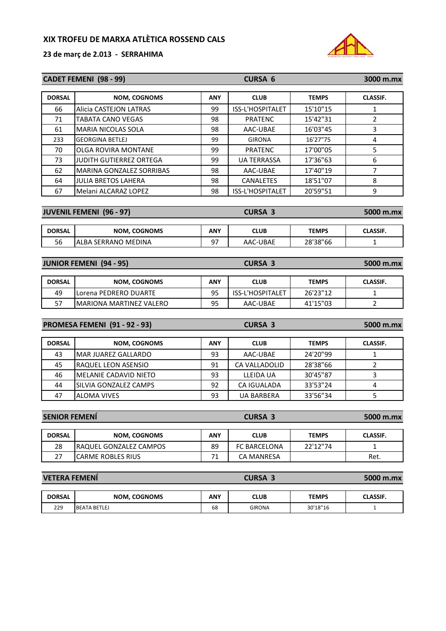

|                      | <b>CADET FEMENI (98 - 99)</b>        |            | <b>CURSA 6</b>     |              | 3000 m.mx               |
|----------------------|--------------------------------------|------------|--------------------|--------------|-------------------------|
| <b>DORSAL</b>        | <b>NOM, COGNOMS</b>                  | <b>ANY</b> | <b>CLUB</b>        | <b>TEMPS</b> | <b>CLASSIF.</b>         |
| 66                   | Alicia CASTEJON LATRAS               | 99         | ISS-L'HOSPITALET   | 15'10"15     | $\mathbf{1}$            |
| 71                   | TABATA CANO VEGAS                    | 98         | <b>PRATENC</b>     | 15'42"31     | $\overline{2}$          |
| 61                   | MARIA NICOLAS SOLA                   | 98         | AAC-UBAE           | 16'03"45     | 3                       |
| 233                  | <b>GEORGINA BETLEJ</b>               | 99         | <b>GIRONA</b>      | 16'27"75     | $\overline{4}$          |
| 70                   | OLGA ROVIRA MONTANE                  | 99         | <b>PRATENC</b>     | 17'00"05     | 5                       |
| 73                   | JUDITH GUTIERREZ ORTEGA              | 99         | <b>UA TERRASSA</b> | 17'36"63     | 6                       |
| 62                   | MARINA GONZALEZ SORRIBAS             | 98         | AAC-UBAE           | 17'40"19     | $\overline{7}$          |
| 64                   | <b>JULIA BRETOS LAHERA</b>           | 98         | <b>CANALETES</b>   | 18'51"07     | 8                       |
| 67                   | Melani ALCARAZ LOPEZ                 | 98         | ISS-L'HOSPITALET   | 20'59"51     | 9                       |
|                      | <b>JUVENIL FEMENI (96 - 97)</b>      |            | <b>CURSA 3</b>     |              |                         |
|                      |                                      |            |                    |              | 5000 m.mx               |
| <b>DORSAL</b>        | <b>NOM, COGNOMS</b>                  | <b>ANY</b> | <b>CLUB</b>        | <b>TEMPS</b> | <b>CLASSIF.</b>         |
| 56                   | ALBA SERRANO MEDINA                  | 97         | AAC-UBAE           | 28'38"66     | $\mathbf{1}$            |
|                      |                                      |            | <b>CURSA 3</b>     |              |                         |
|                      | <b>JUNIOR FEMENI (94 - 95)</b>       |            |                    |              | 5000 m.mx               |
| <b>DORSAL</b>        | <b>NOM, COGNOMS</b>                  | <b>ANY</b> | <b>CLUB</b>        | <b>TEMPS</b> | <b>CLASSIF.</b>         |
| 49                   | Lorena PEDRERO DUARTE                | 95         | ISS-L'HOSPITALET   | 26'23"12     | $\mathbf{1}$            |
| 57                   | <b>MARIONA MARTINEZ VALERO</b>       | 95         | AAC-UBAE           | 41'15"03     | $\overline{2}$          |
|                      | <b>PROMESA FEMENI (91 - 92 - 93)</b> |            | <b>CURSA 3</b>     |              | 5000 m.mx               |
|                      |                                      |            |                    |              |                         |
| <b>DORSAL</b>        | NOM, COGNOMS                         | <b>ANY</b> | <b>CLUB</b>        | <b>TEMPS</b> | <b>CLASSIF.</b>         |
| 43                   | MAR JUAREZ GALLARDO                  | 93         | AAC-UBAE           | 24'20"99     | $\mathbf{1}$            |
| 45                   | RAQUEL LEON ASENSIO                  | 91         | CA VALLADOLID      | 28'38"66     | $\overline{2}$          |
| 46                   | MELANIE CADAVID NIETO                | 93         | <b>LLEIDA UA</b>   | 30'45"87     | 3                       |
| 44                   | SILVIA GONZALEZ CAMPS                | 92         | CA IGUALADA        | 33'53"24     | $\overline{\mathbf{4}}$ |
| 47                   | <b>ALOMA VIVES</b>                   | 93         | <b>UA BARBERA</b>  | 33'56"34     | 5                       |
|                      |                                      |            |                    |              |                         |
| <b>SENIOR FEMENÍ</b> |                                      |            | <b>CURSA 3</b>     |              | 5000 m.mx               |

| <b>DORSAL</b>  | <b>NOM, COGNOMS</b>            | <b>ANY</b> | CLUB                | <b>TEMPS</b> | <b>CLASSIF.</b> |
|----------------|--------------------------------|------------|---------------------|--------------|-----------------|
| 28             | <b>IRAQUEL GONZALEZ CAMPOS</b> | 89         | <b>FC BARCELONA</b> | 22'12"74     |                 |
| ~-<br><u>.</u> | ICARME ROBLES RIUS             | -          | CA MANRESA          |              | Ret.            |

| <b>VETERA FEMENI</b> |                     |            | <b>CURSA 3</b> |              | 5000 m.mx       |  |  |  |
|----------------------|---------------------|------------|----------------|--------------|-----------------|--|--|--|
|                      |                     |            |                |              |                 |  |  |  |
| <b>DORSAL</b>        | <b>NOM, COGNOMS</b> | <b>ANY</b> | <b>CLUB</b>    | <b>TEMPS</b> | <b>CLASSIF.</b> |  |  |  |
| 229                  | <b>BEATA BETLEJ</b> | 68         | <b>GIRONA</b>  | 30'18"16     |                 |  |  |  |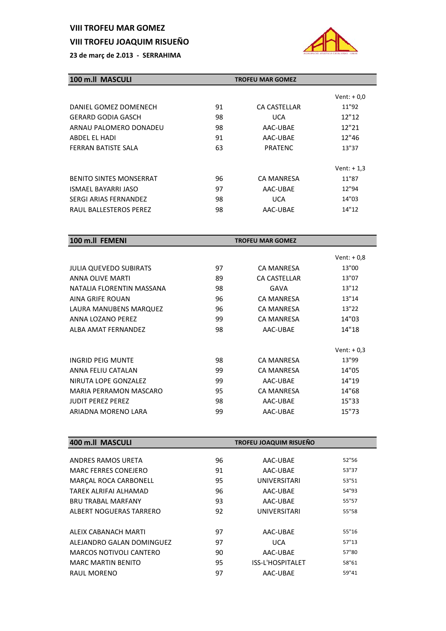# **VIII TROFEU MAR GOMEZ**

# **VIII TROFEU JOAQUIM RISUEÑO**



| 100 m.ll MASCULI               |    | <b>TROFEU MAR GOMEZ</b> |              |
|--------------------------------|----|-------------------------|--------------|
|                                |    |                         | Vent: $+0.0$ |
| DANIEL GOMEZ DOMENECH          | 91 | CA CASTELLAR            | 11"92        |
| <b>GERARD GODIA GASCH</b>      | 98 | <b>UCA</b>              | 12"12        |
| ARNAU PALOMERO DONADEU         | 98 | AAC-UBAE                | 12"21        |
| ABDEL EL HADI                  | 91 | AAC-UBAE                | 12"46        |
| FERRAN BATISTE SALA            | 63 | PRATENC                 | 13"37        |
|                                |    |                         |              |
|                                |    |                         | Vent: $+1,3$ |
| <b>BENITO SINTES MONSERRAT</b> | 96 | CA MANRESA              | 11"87        |
| ISMAEL BAYARRI JASO            | 97 | AAC-UBAE                | 12"94        |
| SERGI ARIAS FERNANDEZ          | 98 | <b>UCA</b>              | 14"03        |
| RAUL BALLESTEROS PEREZ         | 98 | AAC-UBAE                | 14"12        |

| 100 m.ll FEMENI               |    | <b>TROFEU MAR GOMEZ</b> |              |
|-------------------------------|----|-------------------------|--------------|
|                               |    |                         | Vent: $+0,8$ |
| <b>JULIA QUEVEDO SUBIRATS</b> | 97 | <b>CA MANRESA</b>       | 13"00        |
| <b>ANNA OLIVE MARTI</b>       | 89 | <b>CA CASTELLAR</b>     | 13"07        |
| NATALIA FLORENTIN MASSANA     | 98 | GAVA                    | 13"12        |
| AINA GRIFE ROUAN              | 96 | <b>CA MANRESA</b>       | 13"14        |
| LAURA MANUBENS MARQUEZ        | 96 | <b>CA MANRESA</b>       | 13"22        |
| ANNA LOZANO PEREZ             | 99 | <b>CA MANRESA</b>       | 14"03        |
| ALBA AMAT FFRNANDFZ           | 98 | AAC-UBAE                | 14"18        |
|                               |    |                         |              |
|                               |    |                         | Vent: $+0.3$ |
| INGRID PFIG MUNTE             | 98 | <b>CA MANRESA</b>       | 13"99        |
| ANNA FELIU CATALAN            | 99 | <b>CA MANRESA</b>       | 14"05        |
| NIRUTA LOPE GONZALEZ          | 99 | AAC-UBAE                | 14"19        |
| MARIA PERRAMON MASCARO        | 95 | <b>CA MANRESA</b>       | 14"68        |
| <b>JUDIT PEREZ PEREZ</b>      | 98 | AAC-UBAE                | 15"33        |
| ARIADNA MORENO LARA           | 99 | AAC-UBAE                | 15"73        |

| 400 m.ll MASCULI               |    | TROFEU JOAQUIM RISUEÑO  |       |
|--------------------------------|----|-------------------------|-------|
|                                |    |                         |       |
| ANDRES RAMOS URETA             | 96 | AAC-UBAE                | 52"56 |
| <b>MARC FERRES CONEJERO</b>    | 91 | AAC-UBAE                | 53"37 |
| MARÇAL ROCA CARBONELL          | 95 | UNIVERSITARI            | 53"51 |
| TARFK ALRIFAI ALHAMAD          | 96 | AAC-UBAE                | 54"93 |
| <b>BRU TRABAL MARFANY</b>      | 93 | AAC-UBAE                | 55"57 |
| ALBERT NOGUERAS TARRERO        | 92 | UNIVERSITARI            | 55"58 |
|                                |    |                         |       |
| ALFIX CABANACH MARTI           | 97 | AAC-UBAE                | 55"16 |
| ALEJANDRO GALAN DOMINGUEZ      | 97 | <b>UCA</b>              | 57"13 |
| <b>MARCOS NOTIVOLI CANTERO</b> | 90 | AAC-UBAE                | 57"80 |
| <b>MARC MARTIN BENITO</b>      | 95 | <b>ISS-L'HOSPITALET</b> | 58"61 |
| RAUL MORENO                    | 97 | AAC-UBAE                | 59"41 |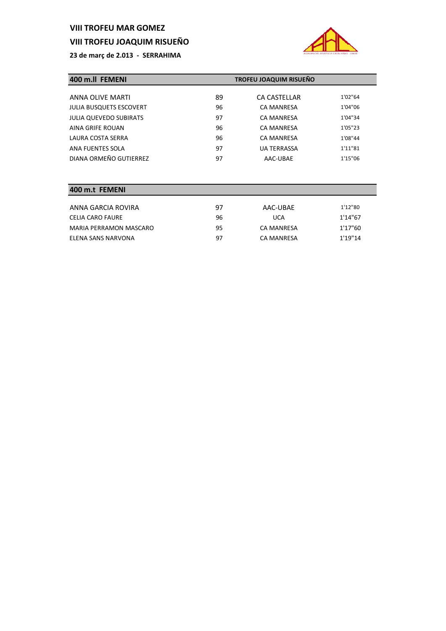# **VIII TROFEU MAR GOMEZ**

#### **VIII TROFEU JOAQUIM RISUEÑO**

**23 de març de 2.013 ‐ SERRAHIMA**



| 400 m.II FEMENI                |    | TROFEU JOAQUIM RISUEÑO |         |
|--------------------------------|----|------------------------|---------|
|                                |    |                        |         |
| ANNA OLIVE MARTI               | 89 | CA CASTELLAR           | 1'02"64 |
| <b>JULIA BUSQUETS ESCOVERT</b> | 96 | <b>CA MANRESA</b>      | 1'04"06 |
| <b>JULIA QUEVEDO SUBIRATS</b>  | 97 | <b>CA MANRESA</b>      | 1'04"34 |
| AINA GRIFE ROUAN               | 96 | <b>CA MANRESA</b>      | 1'05"23 |
| LAURA COSTA SERRA              | 96 | <b>CA MANRESA</b>      | 1'08"44 |
| ANA FUENTES SOLA               | 97 | <b>UA TERRASSA</b>     | 1'11"81 |
| DIANA ORMEÑO GUTIERREZ         | 97 | AAC-UBAE               | 1'15"06 |

#### **400 m.t FEMENI**

| ANNA GARCIA ROVIRA     | 97 | AAC-UBAE   | 1'12"80 |
|------------------------|----|------------|---------|
| CELIA CARO FAURE       | 96 | <b>UCA</b> | 1'14"67 |
| MARIA PERRAMON MASCARO | 95 | CA MANRESA | 1'17"60 |
| ELENA SANS NARVONA     | 97 | CA MANRESA | 1'19"14 |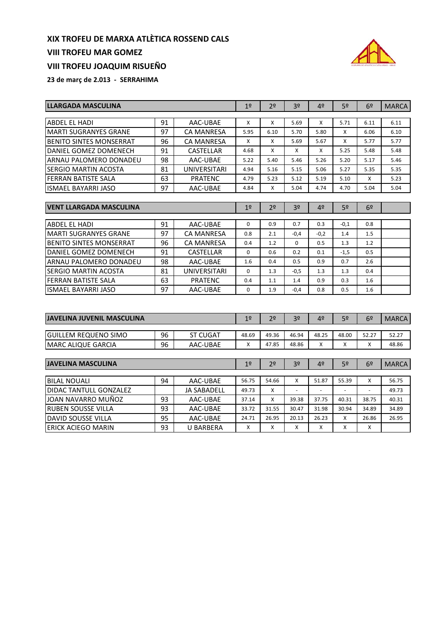#### **VIII TROFEU MAR GOMEZ**

# **VIII TROFEU JOAQUIM RISUEÑO**



| <b>LLARGADA MASCULINA</b>      | 19 | 2 <sup>o</sup>      | 3 <sup>o</sup> | 4º             | 52             | 6º     | <b>MARCA</b>   |                |              |
|--------------------------------|----|---------------------|----------------|----------------|----------------|--------|----------------|----------------|--------------|
|                                |    |                     |                |                |                |        |                |                |              |
| <b>ABDEL EL HADI</b>           | 91 | AAC-UBAE            | X              | X              | 5.69           | X      | 5.71           | 6.11           | 6.11         |
| <b>MARTI SUGRANYES GRANE</b>   | 97 | <b>CA MANRESA</b>   | 5.95           | 6.10           | 5.70           | 5.80   | X              | 6.06           | 6.10         |
| <b>BENITO SINTES MONSERRAT</b> | 96 | <b>CA MANRESA</b>   | X              | X              | 5.69           | 5.67   | X              | 5.77           | 5.77         |
| DANIEL GOMEZ DOMENECH          | 91 | <b>CASTELLAR</b>    | 4.68           | X              | X              | x      | 5.25           | 5.48           | 5.48         |
| ARNAU PALOMERO DONADEU         | 98 | AAC-UBAE            | 5.22           | 5.40           | 5.46           | 5.26   | 5.20           | 5.17           | 5.46         |
| SERGIO MARTIN ACOSTA           | 81 | <b>UNIVERSITARI</b> | 4.94           | 5.16           | 5.15           | 5.06   | 5.27           | 5.35           | 5.35         |
| FERRAN BATISTE SALA            | 63 | <b>PRATENC</b>      | 4.79           | 5.23           | 5.12           | 5.19   | 5.10           | X              | 5.23         |
| <b>ISMAEL BAYARRI JASO</b>     | 97 | AAC-UBAE            | 4.84           | X              | 5.04           | 4.74   | 4.70           | 5.04           | 5.04         |
|                                |    |                     |                |                |                |        |                |                |              |
| <b>VENT LLARGADA MASCULINA</b> |    |                     | 1 <sup>°</sup> | 2 <sup>o</sup> | 3 <sup>o</sup> | 4º     | 5 <sup>2</sup> | 6º             |              |
| <b>ABDEL EL HADI</b>           | 91 | AAC-UBAE            | $\Omega$       | 0.9            | 0.7            | 0.3    | $-0,1$         | 0.8            |              |
| <b>MARTI SUGRANYES GRANE</b>   | 97 | <b>CA MANRESA</b>   | 0.8            | 2.1            | $-0,4$         | $-0,2$ | 1.4            | 1.5            |              |
| <b>BENITO SINTES MONSERRAT</b> | 96 | <b>CA MANRESA</b>   | 0.4            | 1.2            | $\mathbf 0$    | 0.5    | 1.3            | 1.2            |              |
| DANIEL GOMEZ DOMENECH          | 91 | <b>CASTELLAR</b>    | $\Omega$       | 0.6            | 0.2            | 0.1    | $-1,5$         | 0.5            |              |
| ARNAU PALOMERO DONADEU         | 98 | AAC-UBAE            | 1.6            | 0.4            | 0.5            | 0.9    | 0.7            | 2.6            |              |
| SERGIO MARTIN ACOSTA           | 81 | <b>UNIVERSITARI</b> | $\mathbf 0$    | 1.3            | $-0,5$         | 1.3    | 1.3            | 0.4            |              |
| FERRAN BATISTE SALA            | 63 | PRATENC             | 0.4            | 1.1            | 1.4            | 0.9    | 0.3            | 1.6            |              |
| <b>ISMAEL BAYARRI JASO</b>     | 97 | AAC-UBAE            | $\mathbf 0$    | 1.9            | $-0,4$         | 0.8    | 0.5            | 1.6            |              |
|                                |    |                     |                |                |                |        |                |                |              |
|                                |    |                     |                |                |                |        |                |                |              |
| JAVELINA JUVENIL MASCULINA     |    |                     | 1 <sup>°</sup> | 2 <sup>o</sup> | 3 <sup>o</sup> | 4º     | 5 <sup>o</sup> | 6 <sup>2</sup> | <b>MARCA</b> |
| <b>GUILLEM REQUENO SIMO</b>    | 96 | <b>ST CUGAT</b>     | 48.69          | 49.36          | 46.94          | 48.25  | 48.00          | 52.27          | 52.27        |
| <b>MARC ALIQUE GARCIA</b>      | 96 | AAC-UBAE            | X              | 47.85          | 48.86          | X      | X              | X              | 48.86        |
|                                |    |                     |                |                |                |        |                |                |              |
| <b>JAVELINA MASCULINA</b>      |    |                     | 19             | 2 <sup>0</sup> | 3 <sup>0</sup> | 4º     | 52             | 6º             | <b>MARCA</b> |
|                                |    |                     |                |                |                |        |                |                |              |
| <b>BILAL NOUALI</b>            | 94 | AAC-UBAE            | 56.75          | 54.66          | X              | 51.87  | 55.39          | X              | 56.75        |
| <b>DIDAC TANTULL GONZALEZ</b>  |    | <b>JA SABADELL</b>  | 49.73          | X              |                |        |                |                | 49.73        |
| JOAN NAVARRO MUÑOZ             | 93 | AAC-UBAE            | 37.14          | X              | 39.38          | 37.75  | 40.31          | 38.75          | 40.31        |
| <b>RUBEN SOUSSE VILLA</b>      | 93 | AAC-UBAE            | 33.72          | 31.55          | 30.47          | 31.98  | 30.94          | 34.89          | 34.89        |
| <b>DAVID SOUSSE VILLA</b>      | 95 | AAC-UBAE            | 24.71          | 26.95          | 20.13          | 26.23  | X              | 26.86          | 26.95        |
| <b>ERICK ACIEGO MARIN</b>      | 93 | U BARBERA           | Χ              | X              | X              | x      | X              | Χ              |              |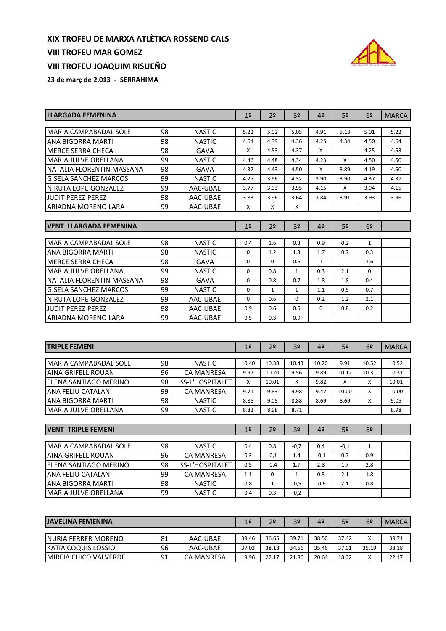# **VIII TROFEU MAR GOMEZ**

# **VIII TROFEU JOAQUIM RISUEÑO**



| LLARGADA FEMENINA                      |          | 1 <sup>°</sup>                 | 2º                 | 3 <sup>o</sup>      | 4º               | 5º           | 6 <sup>2</sup> | <b>MARCA</b>        |              |
|----------------------------------------|----------|--------------------------------|--------------------|---------------------|------------------|--------------|----------------|---------------------|--------------|
| <b>MARIA CAMPABADAL SOLE</b>           |          |                                | 5.22               | 5.02                | 5.05             | 4.91         |                |                     | 5.22         |
| ANA BIGORRA MARTI                      | 98<br>98 | <b>NASTIC</b><br><b>NASTIC</b> | 4.64               | 4.39                | 4.36             | 4.25         | 5.13<br>4.34   | 5.01<br>4.50        | 4.64         |
| MERCE SERRA CHECA                      | 98       | GAVA                           | Χ                  | 4.53                | 4.37             | X            |                | 4.25                | 4.53         |
| <b>MARIA JULVE ORELLANA</b>            | 99       | <b>NASTIC</b>                  | 4.46               | 4.48                | 4.34             | 4.23         | X              | 4.50                | 4.50         |
| NATALIA FLORENTIN MASSANA              | 98       | <b>GAVA</b>                    | 4.32               | 4.43                | 4.50             | X            | 3.89           | 4.19                | 4.50         |
| GISELA SANCHEZ MARCOS                  | 99       | <b>NASTIC</b>                  | 4.27               | 3.96                | 4.32             | 3.90         | 3.90           | 4.37                | 4.37         |
| NIRUTA LOPE GONZALEZ                   | 99       | AAC-UBAE                       | 3.77               | 3.93                | 3.95             | 4.15         | X              | 3.94                | 4.15         |
| <b>JUDIT PEREZ PEREZ</b>               | 98       | AAC-UBAE                       | 3.83               | 3.96                | 3.64             | 3.84         | 3.91           | 3.93                | 3.96         |
| ARIADNA MORENO LARA                    | 99       | AAC-UBAE                       | X                  | X                   | x                |              |                |                     |              |
|                                        |          |                                |                    |                     |                  |              |                |                     |              |
| <b>VENT LLARGADA FEMENINA</b>          |          |                                | 1 <sup>°</sup>     | 2º                  | 3º               | 4º           | 52             | 6º                  |              |
|                                        |          |                                |                    |                     |                  |              |                |                     |              |
| MARIA CAMPABADAL SOLE                  | 98<br>98 | <b>NASTIC</b>                  | 0.4<br>$\mathbf 0$ | 1.6<br>1.2          | 0.3<br>1.3       | 0.9<br>1.7   | 0.2<br>0.7     | $\mathbf{1}$<br>0.3 |              |
| ANA BIGORRA MARTI<br>MERCE SERRA CHECA | 98       | <b>NASTIC</b><br>GAVA          | $\mathbf 0$        | $\mathbf 0$         | 0.6              | $\mathbf{1}$ |                |                     |              |
| <b>MARIA JULVE ORELLANA</b>            | 99       | <b>NASTIC</b>                  | $\mathbf 0$        | 0.8                 | $\mathbf{1}$     | 0.3          | 2.1            | 1.6<br>$\Omega$     |              |
| NATALIA FLORENTIN MASSANA              | 98       | GAVA                           | $\mathbf 0$        | 0.8                 | 0.7              | 1.8          | 1.8            | 0.4                 |              |
| <b>GISELA SANCHEZ MARCOS</b>           | 99       | <b>NASTIC</b>                  | $\mathbf 0$        | 1                   | 1                | 1.1          | 0.9            | 0.7                 |              |
| NIRUTA LOPE GONZALEZ                   | 99       | AAC-UBAE                       | $\mathbf 0$        | 0.6                 | 0                | 0.2          | 1.2            | 2.1                 |              |
| <b>JUDIT PEREZ PEREZ</b>               | 98       | AAC-UBAE                       | 0.9                | 0.6                 | 0.5              | 0            | 0.8            | 0.2                 |              |
| ARIADNA MORENO LARA                    | 99       | AAC-UBAE                       | 0.5                | 0.3                 | 0.9              |              |                |                     |              |
|                                        |          |                                |                    |                     |                  |              |                |                     |              |
|                                        |          |                                |                    |                     |                  |              |                |                     |              |
|                                        |          |                                |                    |                     |                  |              |                |                     |              |
| <b>TRIPLE FEMENI</b>                   |          |                                | 1 <sup>°</sup>     | 2º                  | 3º               | 4º           | 52             | 6º                  | <b>MARCA</b> |
|                                        |          |                                |                    |                     |                  |              |                |                     |              |
| <b>MARIA CAMPABADAL SOLE</b>           | 98       | <b>NASTIC</b>                  | 10.40              | 10.38               | 10.43            | 10.20        | 9.91           | 10.52               | 10.52        |
| <b>AINA GRIFELL ROUAN</b>              | 96       | <b>CA MANRESA</b>              | 9.97               | 10.20               | 9.56             | 9.89         | 10.12          | 10.31               | 10.31        |
| ELENA SANTIAGO MERINO                  | 98       | ISS-L'HOSPITALET               | X                  | 10.01               | x                | 9.82         | X              | X                   | 10.01        |
| ANA FELIU CATALAN                      | 99       | CA MANRESA                     | 9.71               | 9.83                | 9.98             | 9.42         | 10.00          | X                   | 10.00        |
| ANA BIGORRA MARTI                      | 98       | <b>NASTIC</b>                  | 8.85               | 9.05                | 8.88             | 8.69         | 8.69           | x                   | 9.05         |
| <b>MARIA JULVE ORELLANA</b>            | 99       | <b>NASTIC</b>                  | 8.83               | 8.98                | 8.71             |              |                |                     | 8.98         |
| VENT TRIPLE FEMENI                     |          |                                | 1 <sup>°</sup>     | 2 <sup>o</sup>      | 3 <sup>o</sup>   | 4º           | 5º             | 6º                  |              |
|                                        |          |                                |                    |                     |                  |              |                |                     |              |
| MARIA CAMPABADAL SOLE                  | 98       | <b>NASTIC</b>                  | 0.4                | 0.8                 | $-0,7$           | $0.4\,$      | $-0,1$         | 1                   |              |
| <b>AINA GRIFELL ROUAN</b>              | 96       | <b>CA MANRESA</b>              | 0.3                | $-0,1$              | 1.4              | $-0,1$       | 0.7            | 0.9                 |              |
| <b>ELENA SANTIAGO MERINO</b>           | 98       | ISS-L'HOSPITALET               | $0.5\,$            | -0,4                | 1.7              | 2.8          | 1.7            | 2.8                 |              |
| ANA FELIU CATALAN                      | 99       | CA MANRESA                     | 1.1                | 0                   | 1                | 0.5          | 2.1            | 1.8                 |              |
| ANA BIGORRA MARTI                      | 98       | <b>NASTIC</b>                  | 0.8<br>0.4         | $\mathbf{1}$<br>0.3 | $-0,5$<br>$-0,2$ | $-0,6$       | 2.1            | 0.8                 |              |
| MARIA JULVE ORELLANA                   | 99       | <b>NASTIC</b>                  |                    |                     |                  |              |                |                     |              |
|                                        |          |                                |                    |                     |                  |              |                |                     |              |
| <b>JAVELINA FEMENINA</b>               |          |                                | 1 <sup>°</sup>     | 2 <sup>0</sup>      | 3º               | 4º           | 5 <sup>o</sup> | 6 <sup>2</sup>      | <b>MARCA</b> |
| NURIA FERRER MORENO                    | 81       | AAC-UBAE                       | 39.46              | 36.65               | 39.71            | 38.50        | 37.42          | x                   | 39.71        |
| KATIA COQUIS LOSSIO                    | 96       | AAC-UBAE                       | 37.03              | 38.18               | 34.56            | 35.46        | 37.01          | 35.19               | 38.18        |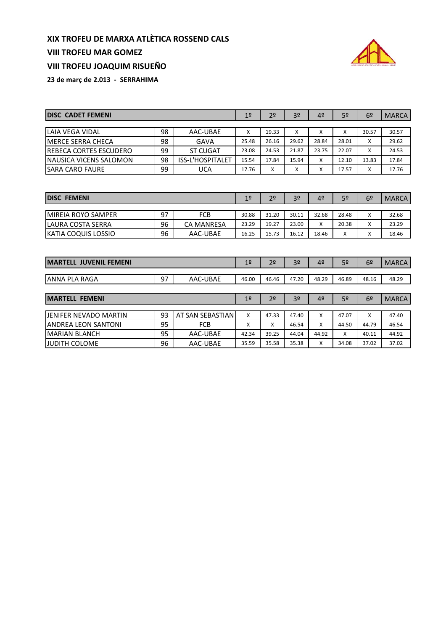#### **VIII TROFEU MAR GOMEZ**



**VIII TROFEU JOAQUIM RISUEÑO**

| <b>IDISC CADET FEMENI</b>      | 1 <sup>°</sup> | 2 <sup>o</sup>   | 3 <sup>o</sup>    | 4 <sup>°</sup> | 5º    | 6 <sup>°</sup> | <b>MARCA</b> |       |       |
|--------------------------------|----------------|------------------|-------------------|----------------|-------|----------------|--------------|-------|-------|
|                                |                |                  |                   |                |       |                |              |       |       |
| LAIA VEGA VIDAL                | 98             | AAC-UBAE         | x                 | 19.33          | x     | X              | x            | 30.57 | 30.57 |
| <b>IMERCE SERRA CHECA</b>      | 98<br>GAVA     |                  |                   |                |       | 28.84          | 28.01        | X     | 29.62 |
| <b>IREBECA CORTES ESCUDERO</b> | 99             | <b>ST CUGAT</b>  | 23.08             | 24.53          | 21.87 | 23.75          | 22.07        | x     | 24.53 |
| INAUSICA VICENS SALOMON        | 98             | ISS-L'HOSPITALET | 15.54             | 17.84          | 15.94 | X              | 12.10        | 13.83 | 17.84 |
| <b>ISARA CARO FAURE</b>        | 17.76          | X                | $\checkmark$<br>⋏ | X              | 17.57 | X              | 17.76        |       |       |

| <b>DISC FEMENI</b>         |    |                   | 1 <sup>°</sup> | 2 <sup>o</sup> | 3 <sup>o</sup> | 4º    | 5º                | 6º           | <b>MARCA</b> |
|----------------------------|----|-------------------|----------------|----------------|----------------|-------|-------------------|--------------|--------------|
|                            |    |                   |                |                |                |       |                   |              |              |
| <b>IMIREIA ROYO SAMPER</b> | 97 | FCB               | 30.88          | 31.20          | 30.11          | 32.68 | 28.48             | X            | 32.68        |
| <b>ILAURA COSTA SERRA</b>  | 96 | <b>CA MANRESA</b> | 23.29          | 19.27          | 23.00          | Χ     | 20.38             | x            | 23.29        |
| <b>KATIA COQUIS LOSSIO</b> | 96 | AAC-UBAE          | 16.25          | 15.73          | 16.12          | 18.46 | $\mathbf{v}$<br>⋏ | $\checkmark$ | 18.46        |

| <b>MARTELL JUVENIL FEMENI</b> | 1 <sup>°</sup> | 2 <sup>0</sup>   | 3º             | 4 <sup>°</sup> | 5º             | 6 <sup>2</sup> | <b>MARCA</b>   |                |              |
|-------------------------------|----------------|------------------|----------------|----------------|----------------|----------------|----------------|----------------|--------------|
|                               |                |                  |                |                |                |                |                |                |              |
| <b>ANNA PLA RAGA</b>          | 97             | AAC-UBAE         | 46.00          | 46.46          | 47.20          | 48.29          | 46.89          | 48.16          | 48.29        |
|                               |                |                  |                |                |                |                |                |                |              |
| <b>MARTELL FEMENI</b>         |                |                  | 1 <sup>°</sup> | 2 <sup>0</sup> | 3 <sup>o</sup> | 4 <sup>°</sup> | 5 <sup>o</sup> | 6 <sup>2</sup> | <b>MARCA</b> |
| JENIFER NEVADO MARTIN         | 93             | AT SAN SEBASTIAN | X              | 47.33          | 47.40          | X              | 47.07          | X              | 47.40        |
| <b>ANDREA LEON SANTONI</b>    | 95             | <b>FCB</b>       | x              | X              | 46.54          | x              | 44.50          | 44.79          | 46.54        |
| <b>MARIAN BLANCH</b>          | 42.34          | 39.25            | 44.04          | 44.92          | x              | 40.11          | 44.92          |                |              |
| IJUDITH COLOME                | 96             | AAC-UBAE         | 35.59          | 35.58          | 35.38          | X              | 34.08          | 37.02          | 37.02        |